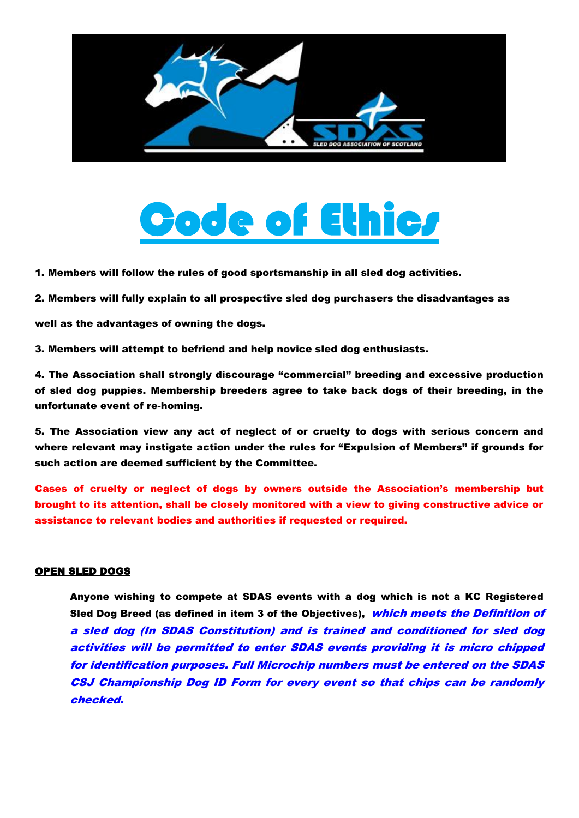

## de of Ethics

1. Members will follow the rules of good sportsmanship in all sled dog activities.

2. Members will fully explain to all prospective sled dog purchasers the disadvantages as

well as the advantages of owning the dogs.

3. Members will attempt to befriend and help novice sled dog enthusiasts.

4. The Association shall strongly discourage "commercial" breeding and excessive production of sled dog puppies. Membership breeders agree to take back dogs of their breeding, in the unfortunate event of re-homing.

5. The Association view any act of neglect of or cruelty to dogs with serious concern and where relevant may instigate action under the rules for "Expulsion of Members" if grounds for such action are deemed sufficient by the Committee.

Cases of cruelty or neglect of dogs by owners outside the Association's membership but brought to its attention, shall be closely monitored with a view to giving constructive advice or assistance to relevant bodies and authorities if requested or required.

## OPEN SLED DOGS

Anyone wishing to compete at SDAS events with a dog which is not a KC Registered Sled Dog Breed (as defined in item 3 of the Objectives), which meets the Definition of a sled dog (In SDAS Constitution) and is trained and conditioned for sled dog activities will be permitted to enter SDAS events providing it is micro chipped for identification purposes. Full Microchip numbers must be entered on the SDAS CSJ Championship Dog ID Form for every event so that chips can be randomly checked.